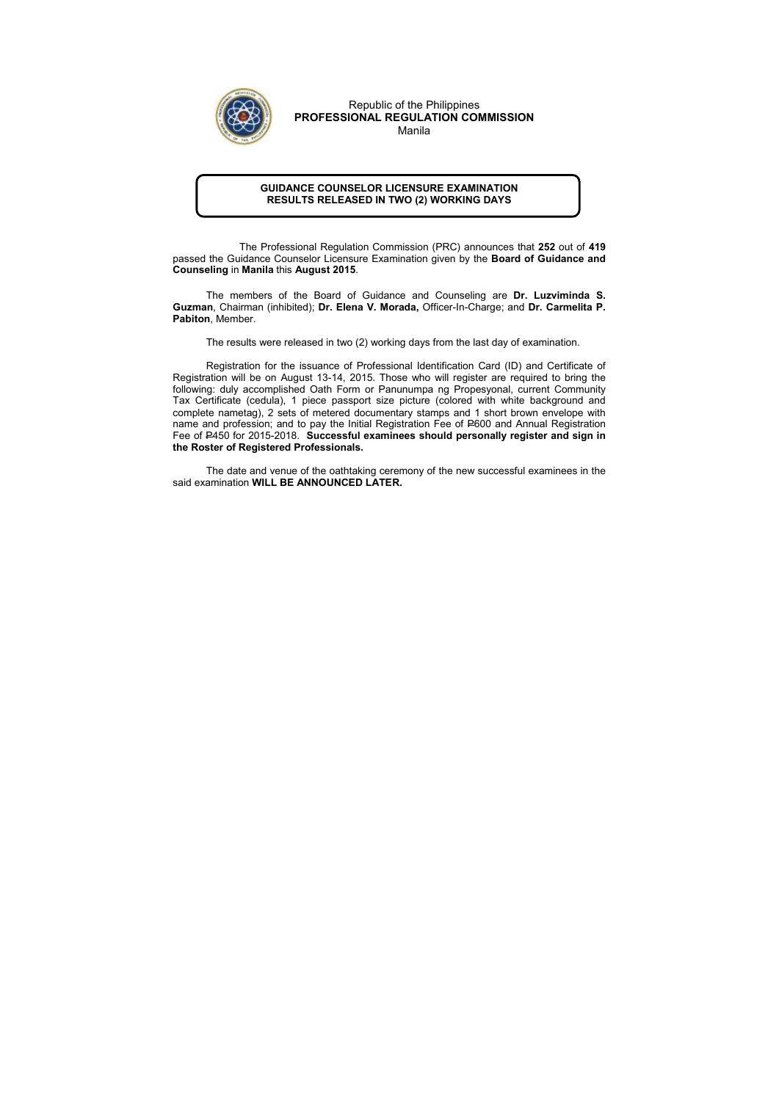## GUIDANCE COUNSELOR LICENSURE EXAMINATION RESULTS RELEASED IN TWO (2) WORKING DAYS

 The Professional Regulation Commission (PRC) announces that 252 out of 419 passed the Guidance Counselor Licensure Examination given by the Board of Guidance and Counseling in Manila this August 2015.

The members of the Board of Guidance and Counseling are Dr. Luzviminda S. Guzman, Chairman (inhibited); Dr. Elena V. Morada, Officer-In-Charge; and Dr. Carmelita P. Pabiton, Member.

The results were released in two (2) working days from the last day of examination.

Registration for the issuance of Professional Identification Card (ID) and Certificate of Registration will be on August 13-14, 2015. Those who will register are required to bring the following: duly accomplished Oath Form or Panunumpa ng Propesyonal, current Community Tax Certificate (cedula), 1 piece passport size picture (colored with white background and complete nametag), 2 sets of metered documentary stamps and 1 short brown envelope with name and profession; and to pay the Initial Registration Fee of P600 and Annual Registration Fee of P450 for 2015-2018. Successful examinees should personally register and sign in the Roster of Registered Professionals.

The date and venue of the oathtaking ceremony of the new successful examinees in the said examination WILL BE ANNOUNCED LATER.



Republic of the Philippines PROFESSIONAL REGULATION COMMISSION Manila